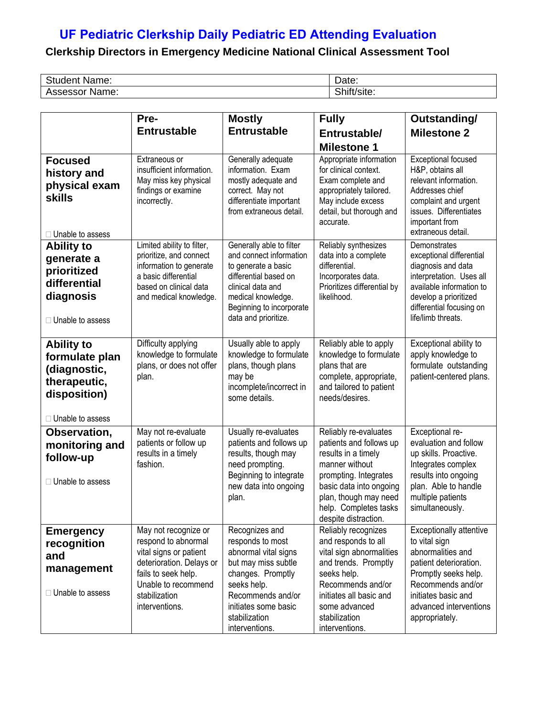## **UF Pediatric Clerkship Daily Pediatric ED Attending Evaluation**

## **Clerkship Directors in Emergency Medicine National Clinical Assessment Tool**

| r.<br>udent<br>$\sim$<br>wame. | Date:                                      |
|--------------------------------|--------------------------------------------|
| 000000<br>Name:<br>155essoi    | <b></b><br>.<br><br>ກ ແບ ຣແ <del>ບ</del> . |

|                                                                                                           | Pre-                                                                                                                                                                                                                                                                                                                                                               | <b>Mostly</b>                                                                                                                                                                                         | <b>Fully</b>                                                                                                                                                                                                            | Outstanding/                                                                                                                                                                                                   |
|-----------------------------------------------------------------------------------------------------------|--------------------------------------------------------------------------------------------------------------------------------------------------------------------------------------------------------------------------------------------------------------------------------------------------------------------------------------------------------------------|-------------------------------------------------------------------------------------------------------------------------------------------------------------------------------------------------------|-------------------------------------------------------------------------------------------------------------------------------------------------------------------------------------------------------------------------|----------------------------------------------------------------------------------------------------------------------------------------------------------------------------------------------------------------|
|                                                                                                           | <b>Entrustable</b>                                                                                                                                                                                                                                                                                                                                                 | <b>Entrustable</b>                                                                                                                                                                                    | Entrustable/                                                                                                                                                                                                            | <b>Milestone 2</b>                                                                                                                                                                                             |
|                                                                                                           |                                                                                                                                                                                                                                                                                                                                                                    |                                                                                                                                                                                                       | <b>Milestone 1</b>                                                                                                                                                                                                      |                                                                                                                                                                                                                |
| <b>Focused</b><br>history and<br>physical exam<br><b>skills</b><br>□ Unable to assess                     | Extraneous or<br>insufficient information.<br>May miss key physical<br>findings or examine<br>incorrectly.                                                                                                                                                                                                                                                         | Generally adequate<br>information. Exam<br>mostly adequate and<br>correct. May not<br>differentiate important<br>from extraneous detail.                                                              | Appropriate information<br>for clinical context.<br>Exam complete and<br>appropriately tailored.<br>May include excess<br>detail, but thorough and<br>accurate.                                                         | <b>Exceptional focused</b><br>H&P, obtains all<br>relevant information.<br>Addresses chief<br>complaint and urgent<br>issues. Differentiates<br>important from<br>extraneous detail.                           |
| <b>Ability to</b><br>generate a<br>prioritized<br>differential<br>diagnosis<br>□ Unable to assess         | Limited ability to filter,<br>Generally able to filter<br>prioritize, and connect<br>and connect information<br>information to generate<br>to generate a basic<br>a basic differential<br>differential based on<br>based on clinical data<br>clinical data and<br>and medical knowledge.<br>medical knowledge.<br>Beginning to incorporate<br>data and prioritize. |                                                                                                                                                                                                       | Reliably synthesizes<br>data into a complete<br>differential.<br>Incorporates data.<br>Prioritizes differential by<br>likelihood.                                                                                       | Demonstrates<br>exceptional differential<br>diagnosis and data<br>interpretation. Uses all<br>available information to<br>develop a prioritized<br>differential focusing on<br>life/limb threats.              |
| <b>Ability to</b><br>formulate plan<br>(diagnostic,<br>therapeutic,<br>disposition)<br>□ Unable to assess | Difficulty applying<br>knowledge to formulate<br>plans, or does not offer<br>plan.                                                                                                                                                                                                                                                                                 | Usually able to apply<br>knowledge to formulate<br>plans, though plans<br>may be<br>incomplete/incorrect in<br>some details.                                                                          | Reliably able to apply<br>knowledge to formulate<br>plans that are<br>complete, appropriate,<br>and tailored to patient<br>needs/desires.                                                                               | Exceptional ability to<br>apply knowledge to<br>formulate outstanding<br>patient-centered plans.                                                                                                               |
| Observation,<br>monitoring and<br>follow-up<br>□ Unable to assess                                         | May not re-evaluate<br>patients or follow up<br>results in a timely<br>fashion.                                                                                                                                                                                                                                                                                    | Usually re-evaluates<br>patients and follows up<br>results, though may<br>need prompting.<br>Beginning to integrate<br>new data into ongoing<br>plan.                                                 | Reliably re-evaluates<br>patients and follows up<br>results in a timely<br>manner without<br>prompting. Integrates<br>basic data into ongoing<br>plan, though may need<br>help. Completes tasks<br>despite distraction. | Exceptional re-<br>evaluation and follow<br>up skills. Proactive.<br>Integrates complex<br>results into ongoing<br>plan. Able to handle<br>multiple patients<br>simultaneously.                                |
| <b>Emergency</b><br>recognition<br>and<br>management<br>$\Box$ Unable to assess                           | May not recognize or<br>respond to abnormal<br>vital signs or patient<br>deterioration. Delays or<br>fails to seek help.<br>Unable to recommend<br>stabilization<br>interventions.                                                                                                                                                                                 | Recognizes and<br>responds to most<br>abnormal vital signs<br>but may miss subtle<br>changes. Promptly<br>seeks help.<br>Recommends and/or<br>initiates some basic<br>stabilization<br>interventions. | Reliably recognizes<br>and responds to all<br>vital sign abnormalities<br>and trends. Promptly<br>seeks help.<br>Recommends and/or<br>initiates all basic and<br>some advanced<br>stabilization<br>interventions.       | <b>Exceptionally attentive</b><br>to vital sign<br>abnormalities and<br>patient deterioration.<br>Promptly seeks help.<br>Recommends and/or<br>initiates basic and<br>advanced interventions<br>appropriately. |